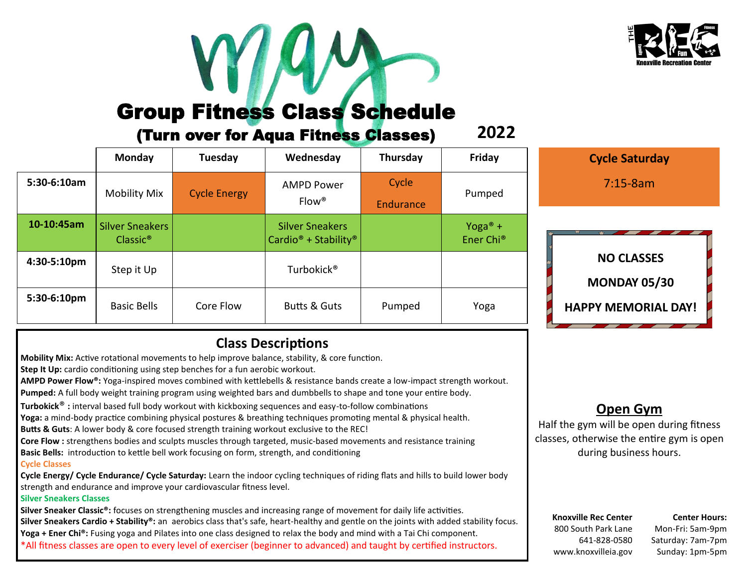

# Group Fitness Class Schedule

### (Turn over for Aqua Fitness Classes)

|             | Monday                                         | Tuesday             | Wednesday                                                              | Thursday           | Friday                                       |  |
|-------------|------------------------------------------------|---------------------|------------------------------------------------------------------------|--------------------|----------------------------------------------|--|
| 5:30-6:10am | <b>Mobility Mix</b>                            | <b>Cycle Energy</b> | <b>AMPD Power</b><br>$Flow^*$                                          | Cycle<br>Endurance | Pumped                                       |  |
| 10-10:45am  | <b>Silver Sneakers</b><br>Classic <sup>®</sup> |                     | <b>Silver Sneakers</b><br>Cardio <sup>®</sup> + Stability <sup>®</sup> |                    | Yoga <sup>®</sup> +<br>Ener Chi <sup>®</sup> |  |
| 4:30-5:10pm | Step it Up                                     |                     | Turbokick <sup>®</sup>                                                 |                    |                                              |  |
| 5:30-6:10pm | <b>Basic Bells</b>                             | Core Flow           | <b>Butts &amp; Guts</b>                                                | Pumped             | Yoga                                         |  |

### **Cycle Saturday** 7:15-8am

**2022**

**NO CLASSES MONDAY 05/30**

### **HAPPY MEMORIAL DAY!**

## **Class Descriptions**

**Mobility Mix:** Active rotational movements to help improve balance, stability, & core function.

**Step It Up:** cardio conditioning using step benches for a fun aerobic workout.

**AMPD Power Flow®:** Yoga-inspired moves combined with kettlebells & resistance bands create a low-impact strength workout.

**Pumped:** A full body weight training program using weighted bars and dumbbells to shape and tone your entire body.

**Turbokick**® **:** interval based full body workout with kickboxing sequences and easy-to-follow combinations

**Yoga:** a mind-body practice combining physical postures & breathing techniques promoting mental & physical health.

**Butts & Guts**: A lower body & core focused strength training workout exclusive to the REC!

**Core Flow :** strengthens bodies and sculpts muscles through targeted, music-based movements and resistance training

**Basic Bells:** introduction to kettle bell work focusing on form, strength, and conditioning

#### **Cycle Classes**

**Cycle Energy/ Cycle Endurance/ Cycle Saturday:** Learn the indoor cycling techniques of riding flats and hills to build lower body strength and endurance and improve your cardiovascular fitness level.

#### **Silver Sneakers Classes**

**Silver Sneaker Classic®:** focuses on strengthening muscles and increasing range of movement for daily life activities. **Silver Sneakers Cardio + Stability®:** an aerobics class that's safe, heart-healthy and gentle on the joints with added stability focus. **Yoga + Ener Chi®:** Fusing yoga and Pilates into one class designed to relax the body and mind with a Tai Chi component. \*All fitness classes are open to every level of exerciser (beginner to advanced) and taught by certified instructors.

### **Open Gym**

Half the gym will be open during fitness classes, otherwise the entire gym is open during business hours.

**Knoxville Rec Center** 800 South Park Lane 641-828-0580 www.knoxvilleia.gov

**Center Hours:** Mon-Fri: 5am-9pm Saturday: 7am-7pm Sunday: 1pm-5pm